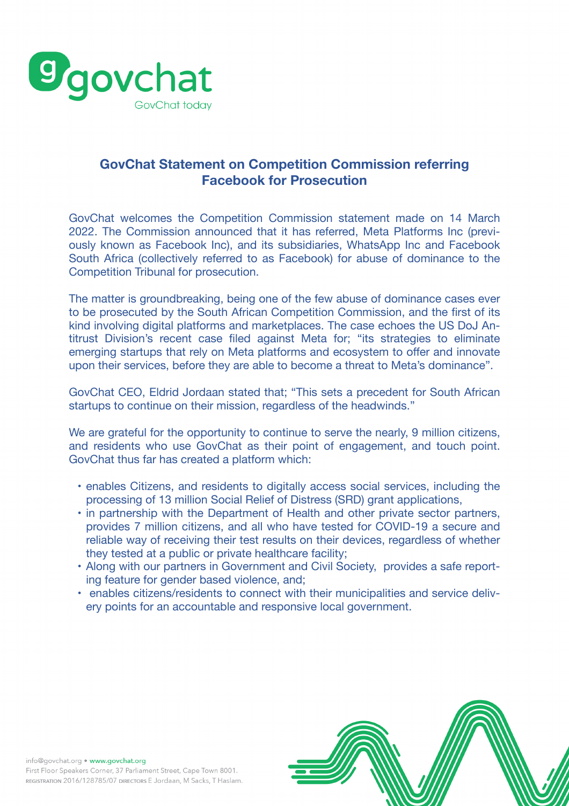

## **GovChat Statement on Competition Commission referring Facebook for Prosecution**

GovChat welcomes the Competition Commission statement made on 14 March 2022. The Commission announced that it has referred, Meta Platforms Inc (previously known as Facebook Inc), and its subsidiaries, WhatsApp Inc and Facebook South Africa (collectively referred to as Facebook) for abuse of dominance to the Competition Tribunal for prosecution.

he Commission announced that it has referred, Meta Platfo<br>nown as Facebook Inc), and its subsidiaries, WhatsApp Inc<br>frica (collectively referred to as Facebook) for abuse of dor<br>ition Tribunal for prosecution.<br>Her is groun The matter is groundbreaking, being one of the few abuse of dominance cases ever to be prosecuted by the South African Competition Commission, and the first of its kind involving digital platforms and marketplaces. The case echoes the US DoJ Antitrust Division's recent case filed against Meta for; "its strategies to eliminate emerging startups that rely on Meta platforms and ecosystem to offer and innovate upon their services, before they are able to become a threat to Meta's dominance".

GovChat CEO, Eldrid Jordaan stated that; "This sets a precedent for South African startups to continue on their mission, regardless of the headwinds."

We are grateful for the opportunity to continue to serve the nearly, 9 million citizens, and residents who use GovChat as their point of engagement, and touch point. GovChat thus far has created a platform which:

- enables Citizens, and residents to digitally access social services, including the processing of 13 million Social Relief of Distress (SRD) grant applications,
- in partnership with the Department of Health and other private sector partners, provides 7 million citizens, and all who have tested for COVID-19 a secure and reliable way of receiving their test results on their devices, regardless of whether they tested at a public or private healthcare facility;
- Along with our partners in Government and Civil Society, provides a safe reporting feature for gender based violence, and;
- enables citizens/residents to connect with their municipalities and service delivery points for an accountable and responsive local government.